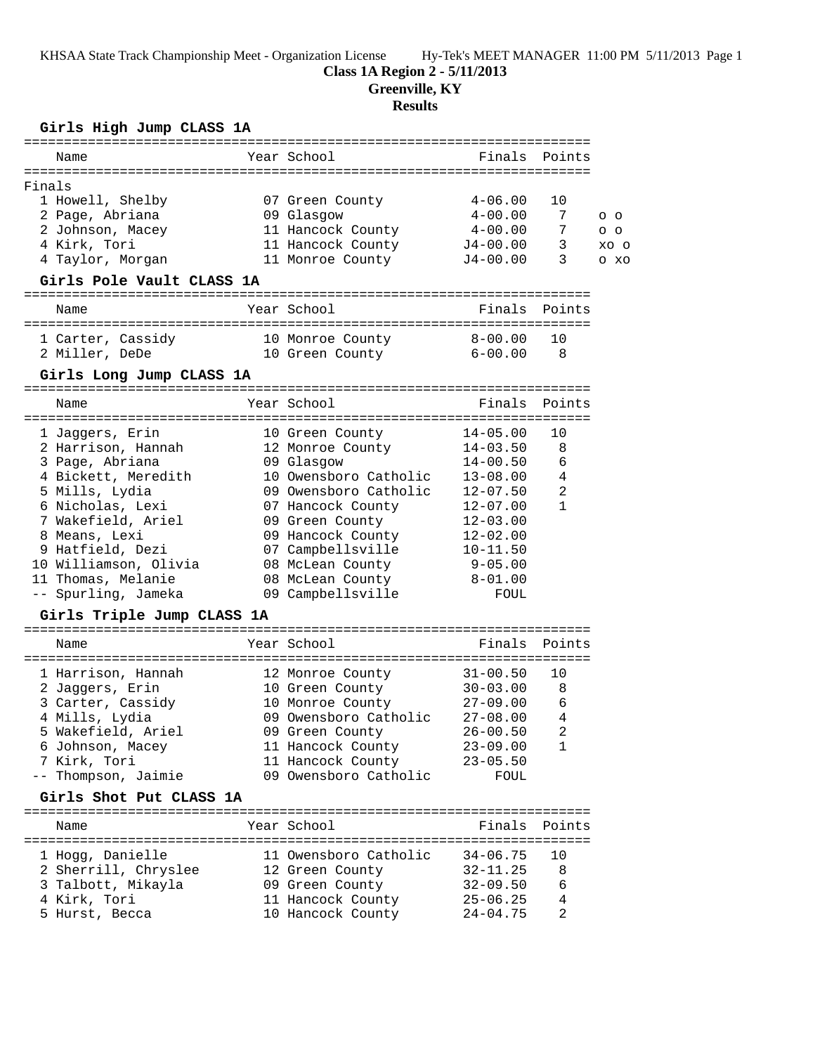KHSAA State Track Championship Meet - Organization License Hy-Tek's MEET MANAGER 11:00 PM 5/11/2013 Page 1

#### **Class 1A Region 2 - 5/11/2013**

**Greenville, KY**

#### **Results**

## **Girls High Jump CLASS 1A**

**Girls Shot Put CLASS 1A**

|        | Girls High Jump CLASS 1A<br>================================= |  |                                 |              |              |                    |  |  |  |
|--------|---------------------------------------------------------------|--|---------------------------------|--------------|--------------|--------------------|--|--|--|
|        | Name                                                          |  | Year School                     | Finals       | Points       |                    |  |  |  |
|        |                                                               |  |                                 |              |              |                    |  |  |  |
| Finals |                                                               |  |                                 | $4 - 06.00$  | 10           |                    |  |  |  |
|        | 1 Howell, Shelby                                              |  | 07 Green County                 | $4 - 00.00$  | 7            |                    |  |  |  |
|        | 2 Page, Abriana<br>2 Johnson, Macey                           |  | 09 Glasgow<br>11 Hancock County | $4 - 00.00$  | 7            | $O$ $O$<br>$O$ $O$ |  |  |  |
|        | 4 Kirk, Tori                                                  |  | 11 Hancock County               | $J4 - 00.00$ | 3            | XO O               |  |  |  |
|        | 4 Taylor, Morgan                                              |  | 11 Monroe County                | $J4 - 00.00$ | 3            | O XO               |  |  |  |
|        | Girls Pole Vault CLASS 1A                                     |  |                                 |              |              |                    |  |  |  |
|        | Name                                                          |  | Year School                     | Finals       | Points       |                    |  |  |  |
|        |                                                               |  |                                 |              |              |                    |  |  |  |
|        | 1 Carter, Cassidy                                             |  | 10 Monroe County                | $8 - 00.00$  | 1 O          |                    |  |  |  |
|        | 2 Miller, DeDe                                                |  | 10 Green County 6-00.00         |              | 8            |                    |  |  |  |
|        | Girls Long Jump CLASS 1A                                      |  |                                 |              |              |                    |  |  |  |
|        | Name                                                          |  | Year School                     | Finals       | Points       |                    |  |  |  |
|        | 1 Jaqqers, Erin                                               |  | 10 Green County                 | $14 - 05.00$ | 10           |                    |  |  |  |
|        | 2 Harrison, Hannah                                            |  | 12 Monroe County                | $14 - 03.50$ | 8            |                    |  |  |  |
|        | 3 Page, Abriana                                               |  | 09 Glasgow                      | $14 - 00.50$ | 6            |                    |  |  |  |
|        | 4 Bickett, Meredith                                           |  | 10 Owensboro Catholic           | $13 - 08.00$ | 4            |                    |  |  |  |
|        | 5 Mills, Lydia                                                |  | 09 Owensboro Catholic           | $12 - 07.50$ | 2            |                    |  |  |  |
|        | 6 Nicholas, Lexi                                              |  | 07 Hancock County               | $12 - 07.00$ | $\mathbf{1}$ |                    |  |  |  |
|        | 7 Wakefield, Ariel                                            |  | 09 Green County                 | $12 - 03.00$ |              |                    |  |  |  |
|        | 8 Means, Lexi                                                 |  | 09 Hancock County               | $12 - 02.00$ |              |                    |  |  |  |
|        | 9 Hatfield, Dezi                                              |  | 07 Campbellsville               | $10 - 11.50$ |              |                    |  |  |  |
|        | 10 Williamson, Olivia                                         |  | 08 McLean County                | $9 - 05.00$  |              |                    |  |  |  |
|        | 11 Thomas, Melanie                                            |  | 08 McLean County                | $8 - 01.00$  |              |                    |  |  |  |
|        | -- Spurling, Jameka                                           |  | 09 Campbellsville               | FOUL         |              |                    |  |  |  |
|        | Girls Triple Jump CLASS 1A                                    |  |                                 |              |              |                    |  |  |  |
|        | Name                                                          |  | Year School                     | Finals       | Points       |                    |  |  |  |
|        |                                                               |  |                                 |              |              |                    |  |  |  |
|        | 1 Harrison, Hannah                                            |  | 12 Monroe County                | $31 - 00.50$ | 10           |                    |  |  |  |
|        | 2 Jaggers, Erin                                               |  | 10 Green County                 | $30 - 03.00$ | 8            |                    |  |  |  |
|        | 3 Carter, Cassidy                                             |  | 10 Monroe County                | $27 - 09.00$ | 6            |                    |  |  |  |

 4 Mills, Lydia 09 Owensboro Catholic 27-08.00 4 5 Wakefield, Ariel 09 Green County 26-00.50 2 6 Johnson, Macey 11 Hancock County 23-09.00 1 7 Kirk, Tori 11 Hancock County 23-05.50 -- Thompson, Jaimie 09 Owensboro Catholic FOUL

======================================================================= Name The Year School The Finals Points ======================================================================= 1 Hogg, Danielle 11 Owensboro Catholic 34-06.75 10 2 Sherrill, Chryslee 12 Green County 32-11.25 8 3 Talbott, Mikayla 09 Green County 32-09.50 6 4 Kirk, Tori 11 Hancock County 25-06.25 4 5 Hurst, Becca 10 Hancock County 24-04.75 2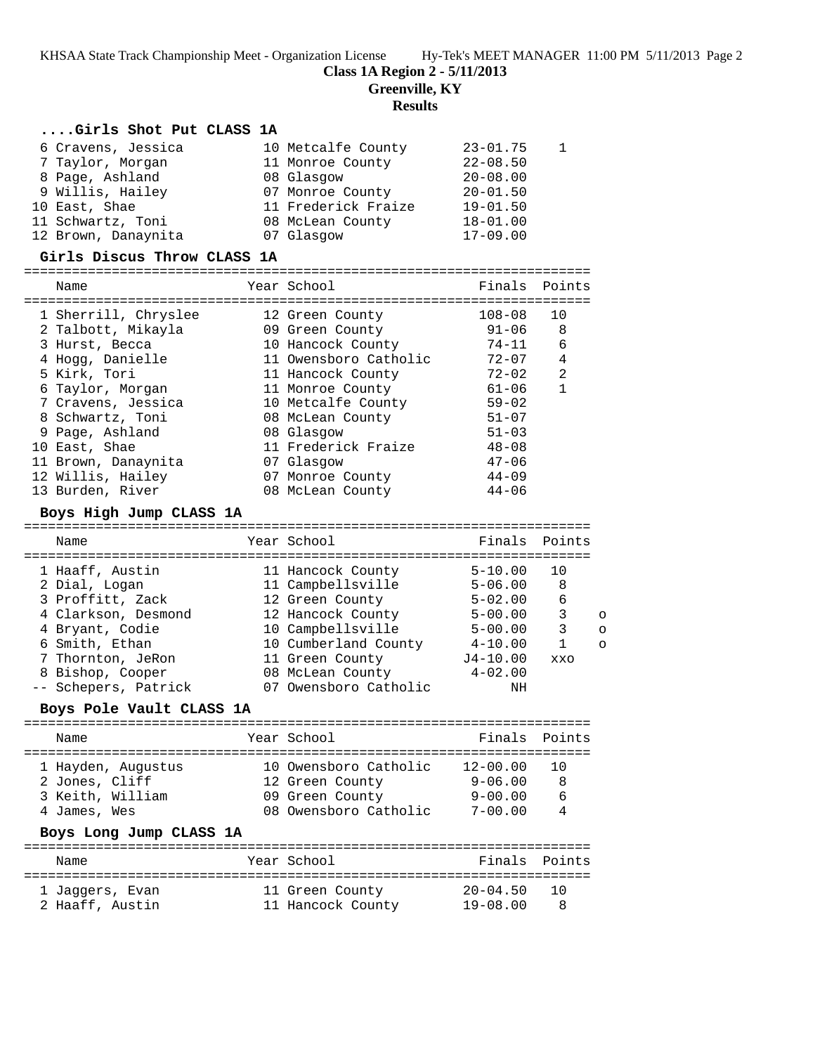KHSAA State Track Championship Meet - Organization License Hy-Tek's MEET MANAGER 11:00 PM 5/11/2013 Page 2

### **Class 1A Region 2 - 5/11/2013**

**Greenville, KY**

#### **Results**

#### **....Girls Shot Put CLASS 1A**

| 6 Cravens, Jessica  | 10 Metcalfe County  | $23 - 01.75$ |  |
|---------------------|---------------------|--------------|--|
| 7 Taylor, Morgan    | 11 Monroe County    | $22 - 08.50$ |  |
| 8 Page, Ashland     | 08 Glasgow          | $20 - 08.00$ |  |
| 9 Willis, Hailey    | 07 Monroe County    | $20 - 01.50$ |  |
| 10 East, Shae       | 11 Frederick Fraize | $19 - 01.50$ |  |
| 11 Schwartz, Toni   | 08 McLean County    | $18 - 01.00$ |  |
| 12 Brown, Danaynita | 07 Glasgow          | $17 - 09.00$ |  |

# **Girls Discus Throw CLASS 1A**

=======================================================================

| Name                 | Year School           | Finals    | Points |
|----------------------|-----------------------|-----------|--------|
| 1 Sherrill, Chryslee | 12 Green County       | 108-08    | 10     |
| 2 Talbott, Mikayla   | 09 Green County       | 91-06     | 8      |
| 3 Hurst, Becca       | 10 Hancock County     | $74 - 11$ | 6      |
| 4 Hogg, Danielle     | 11 Owensboro Catholic | $72 - 07$ | 4      |
| 5 Kirk, Tori         | 11 Hancock County     | $72 - 02$ | 2      |
| 6 Taylor, Morgan     | 11 Monroe County      | 61-06     |        |
| 7 Cravens, Jessica   | 10 Metcalfe County    | $59 - 02$ |        |
| 8 Schwartz, Toni     | 08 McLean County      | $51 - 07$ |        |
| 9 Page, Ashland      | 08 Glasgow            | $51 - 03$ |        |
| 10 East, Shae        | 11 Frederick Fraize   | $48 - 08$ |        |
| 11 Brown, Danaynita  | 07 Glasgow            | $47 - 06$ |        |
| 12 Willis, Hailey    | 07 Monroe County      | $44 - 09$ |        |
| 13 Burden, River     | 08 McLean County      | $44 - 06$ |        |

#### **Boys High Jump CLASS 1A** =======================================================================

| Name                 | Year School           | Finals Points |            |          |
|----------------------|-----------------------|---------------|------------|----------|
|                      |                       |               |            |          |
| 1 Haaff, Austin      | 11 Hancock County     | $5 - 10.00$   | 10         |          |
| 2 Dial, Logan        | 11 Campbellsville     | $5 - 06.00$   | 8          |          |
| 3 Proffitt, Zack     | 12 Green County       | $5 - 02.00$   | 6          |          |
| 4 Clarkson, Desmond  | 12 Hancock County     | $5 - 00.00$   | 3          | $\circ$  |
| 4 Bryant, Codie      | 10 Campbellsville     | $5 - 00.00$   | 3          | $\Omega$ |
| 6 Smith, Ethan       | 10 Cumberland County  | $4 - 10.00$   |            | $\circ$  |
| 7 Thornton, JeRon    | 11 Green County       | $J4 - 10.00$  | <b>XXO</b> |          |
| 8 Bishop, Cooper     | 08 McLean County      | $4 - 02.00$   |            |          |
| -- Schepers, Patrick | 07 Owensboro Catholic | ΝH            |            |          |

#### **Boys Pole Vault CLASS 1A**

| Name                                                                                                | Year School                                                                          | Finals Points                                         |                            |
|-----------------------------------------------------------------------------------------------------|--------------------------------------------------------------------------------------|-------------------------------------------------------|----------------------------|
| 1 Hayden, Augustus<br>2 Jones, Cliff<br>3 Keith, William<br>4 James, Wes<br>Boys Long Jump CLASS 1A | 10 Owensboro Catholic<br>12 Green County<br>09 Green County<br>08 Owensboro Catholic | $12 - 00.00$<br>$9 - 06.00$<br>9-00.00<br>$7 - 00.00$ | - 8<br>6<br>$\overline{4}$ |
| Name                                                                                                | Year School                                                                          | Finals Points                                         |                            |
| 1 Jaqqers, Evan<br>2 Haaff, Austin                                                                  | 11 Green County<br>11 Hancock County                                                 | $20 - 04.50$<br>$19 - 08.00$                          | 10<br>8                    |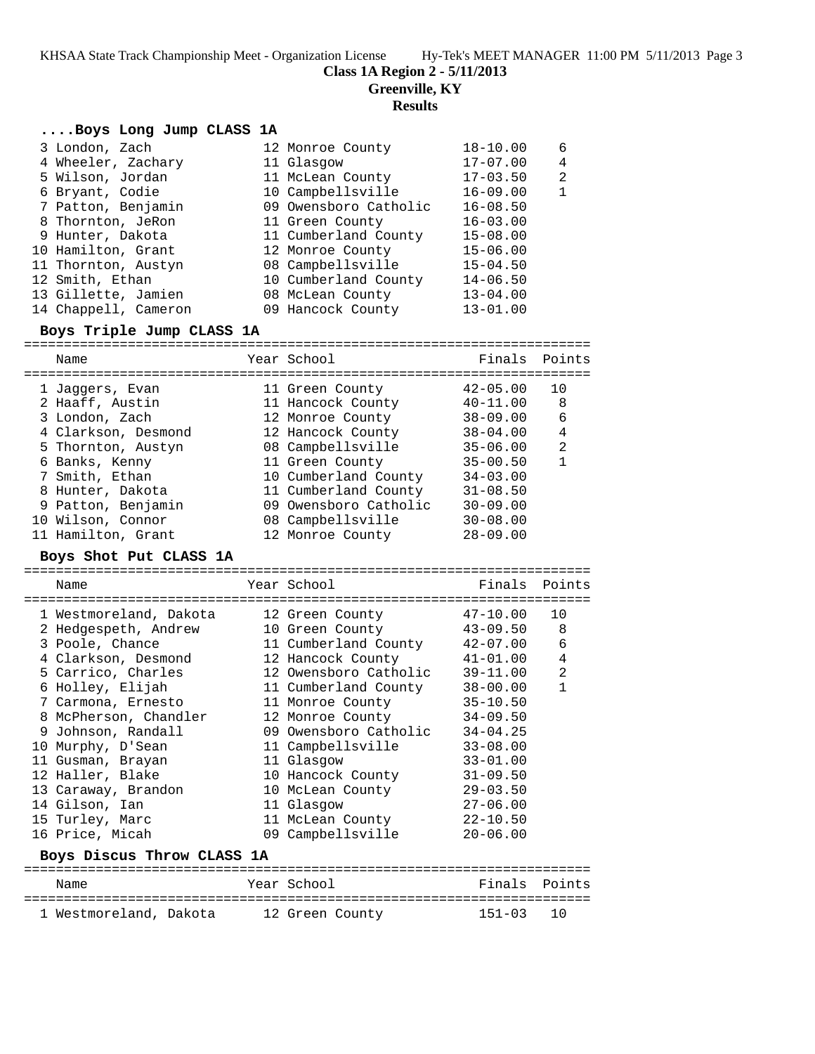KHSAA State Track Championship Meet - Organization License Hy-Tek's MEET MANAGER 11:00 PM 5/11/2013 Page 3

#### **Class 1A Region 2 - 5/11/2013**

**Greenville, KY**

#### **Results**

#### **....Boys Long Jump CLASS 1A**

|                                                                                                                                                                                                                                                           | $18 - 10.00$                                                                                                                                                                                                                                          | 6              |
|-----------------------------------------------------------------------------------------------------------------------------------------------------------------------------------------------------------------------------------------------------------|-------------------------------------------------------------------------------------------------------------------------------------------------------------------------------------------------------------------------------------------------------|----------------|
|                                                                                                                                                                                                                                                           | $17 - 07.00$                                                                                                                                                                                                                                          | $\overline{4}$ |
|                                                                                                                                                                                                                                                           | $17 - 03.50$                                                                                                                                                                                                                                          | 2              |
|                                                                                                                                                                                                                                                           | $16 - 09.00$                                                                                                                                                                                                                                          | 1              |
|                                                                                                                                                                                                                                                           | $16 - 08.50$                                                                                                                                                                                                                                          |                |
|                                                                                                                                                                                                                                                           | $16 - 03.00$                                                                                                                                                                                                                                          |                |
|                                                                                                                                                                                                                                                           | $15 - 08.00$                                                                                                                                                                                                                                          |                |
|                                                                                                                                                                                                                                                           | $15 - 06.00$                                                                                                                                                                                                                                          |                |
|                                                                                                                                                                                                                                                           | $15 - 04.50$                                                                                                                                                                                                                                          |                |
|                                                                                                                                                                                                                                                           | $14 - 06.50$                                                                                                                                                                                                                                          |                |
|                                                                                                                                                                                                                                                           | $13 - 04.00$                                                                                                                                                                                                                                          |                |
|                                                                                                                                                                                                                                                           | $13 - 01.00$                                                                                                                                                                                                                                          |                |
| 3 London, Zach<br>4 Wheeler, Zachary<br>5 Wilson, Jordan<br>6 Bryant, Codie<br>7 Patton, Benjamin<br>8 Thornton, JeRon<br>9 Hunter, Dakota<br>10 Hamilton, Grant<br>11 Thornton, Austyn<br>12 Smith, Ethan<br>13 Gillette, Jamien<br>14 Chappell, Cameron | 12 Monroe County<br>11 Glasgow<br>11 McLean County<br>10 Campbellsville<br>09 Owensboro Catholic<br>11 Green County<br>11 Cumberland County<br>12 Monroe County<br>08 Campbellsville<br>10 Cumberland County<br>08 McLean County<br>09 Hancock County |                |

#### **Boys Triple Jump CLASS 1A**

======================================================================= Name The Year School Team Points Points ======================================================================= 1 Jaggers, Evan 11 Green County 42-05.00 10 2 Haaff, Austin 11 Hancock County 40-11.00 8 3 London, Zach 12 Monroe County 38-09.00 6 4 Clarkson, Desmond 12 Hancock County 38-04.00 4 5 Thornton, Austyn 08 Campbellsville 35-06.00 2 6 Banks, Kenny 11 Green County 35-00.50 1 7 Smith, Ethan 10 Cumberland County 34-03.00 8 Hunter, Dakota 11 Cumberland County 31-08.50 9 Patton, Benjamin 09 Owensboro Catholic 30-09.00 10 Wilson, Connor 08 Campbellsville 30-08.00 11 Hamilton, Grant 12 Monroe County 28-09.00

#### **Boys Shot Put CLASS 1A**

=======================================================================

| Name                                                                                                                      | Year School           | Finals Points |                |
|---------------------------------------------------------------------------------------------------------------------------|-----------------------|---------------|----------------|
| 1 Westmoreland, Dakota                                                                                                    | 12 Green County       | $47 - 10.00$  | 10             |
| 2 Hedgespeth, Andrew                                                                                                      | 10 Green County       | 43-09.50      | 8              |
| 3 Poole, Chance                                                                                                           | 11 Cumberland County  | $42 - 07.00$  | 6              |
| 4 Clarkson, Desmond                                                                                                       | 12 Hancock County     | 41-01.00      | $\overline{4}$ |
| 5 Carrico, Charles                                                                                                        | 12 Owensboro Catholic | $39 - 11.00$  | 2              |
| 6 Holley, Elijah                                                                                                          | 11 Cumberland County  | 38-00.00      | $\mathbf{1}$   |
| 7 Carmona, Ernesto                                                                                                        | 11 Monroe County      | $35 - 10.50$  |                |
| 8 McPherson, Chandler                                                                                                     | 12 Monroe County      | $34 - 09.50$  |                |
| 9 Johnson, Randall                                                                                                        | 09 Owensboro Catholic | $34 - 04.25$  |                |
| 10 Murphy, D'Sean                                                                                                         | 11 Campbellsville     | $33 - 08.00$  |                |
| 11 Gusman, Brayan                                                                                                         | 11 Glasgow            | $33 - 01.00$  |                |
| 12 Haller, Blake                                                                                                          | 10 Hancock County     | $31 - 09.50$  |                |
| 13 Caraway, Brandon                                                                                                       | 10 McLean County      | $29 - 03.50$  |                |
| 14 Gilson, Ian                                                                                                            | 11 Glasgow            | $27 - 06.00$  |                |
| 15 Turley, Marc                                                                                                           | 11 McLean County      | $22 - 10.50$  |                |
| 16 Price, Micah                                                                                                           | 09 Campbellsville     | $20 - 06.00$  |                |
| the contract of the contract of the contract of the contract of the contract of the contract of the contract of<br>------ |                       |               |                |

#### **Boys Discus Throw CLASS 1A**

| Name                   | Year School     | Finals Points |  |
|------------------------|-----------------|---------------|--|
|                        |                 |               |  |
| 1 Westmoreland, Dakota | 12 Green County | 151-03 10     |  |